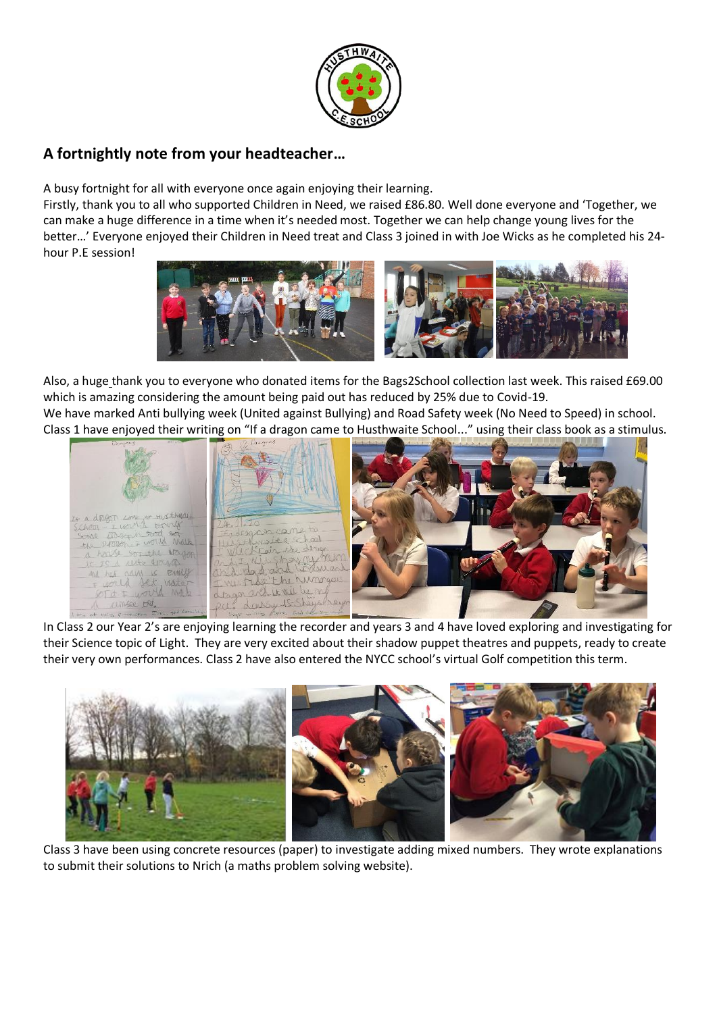

## **A fortnightly note from your headteacher…**

A busy fortnight for all with everyone once again enjoying their learning.

Firstly, thank you to all who supported Children in Need, we raised £86.80. Well done everyone and 'Together, we can make a huge difference in a time when it's needed most. Together we can help change young lives for the better…' Everyone enjoyed their Children in Need treat and Class 3 joined in with Joe Wicks as he completed his 24 hour P.E session!



Also, a huge thank you to everyone who donated items for the Bags2School collection last week. This raised £69.00 which is amazing considering the amount being paid out has reduced by 25% due to Covid-19. We have marked Anti bullying week (United against Bullying) and Road Safety week (No Need to Speed) in school.

Class 1 have enjoyed their writing on "If a dragon came to Husthwaite School..." using their class book as a stimulus.



In Class 2 our Year 2's are enjoying learning the recorder and years 3 and 4 have loved exploring and investigating for their Science topic of Light. They are very excited about their shadow puppet theatres and puppets, ready to create their very own performances. Class 2 have also entered the NYCC school's virtual Golf competition this term.



Class 3 have been using concrete resources (paper) to investigate adding mixed numbers. They wrote explanations to submit their solutions to Nrich (a maths problem solving website).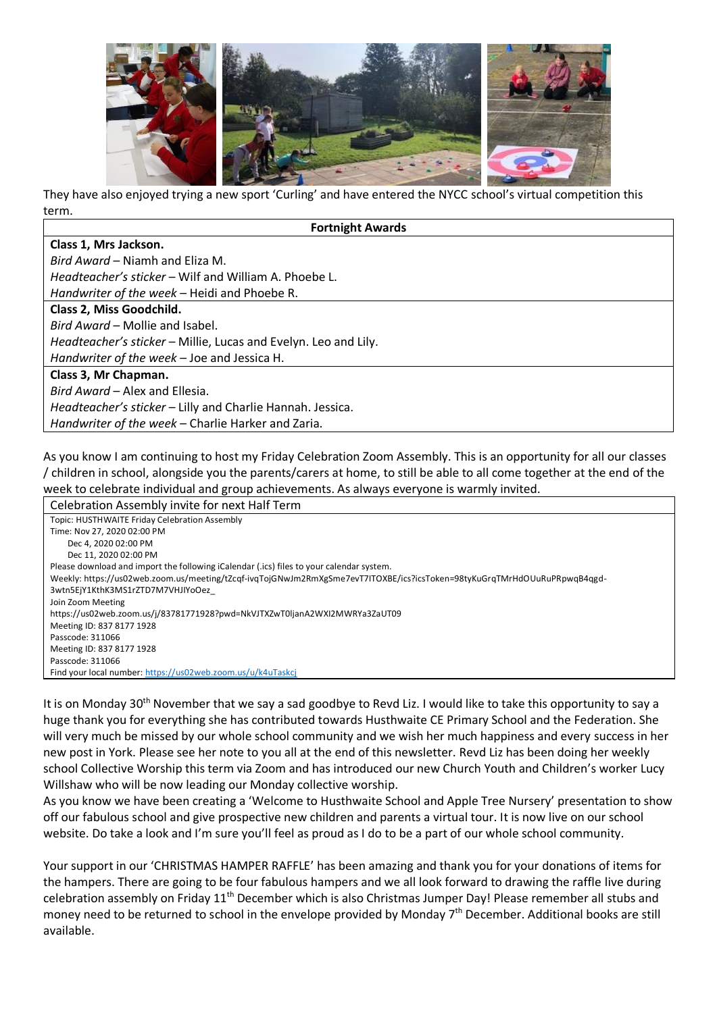

They have also enjoyed trying a new sport 'Curling' and have entered the NYCC school's virtual competition this term.

| <b>Fortnight Awards</b>                                         |  |  |
|-----------------------------------------------------------------|--|--|
| Class 1, Mrs Jackson.                                           |  |  |
| Bird Award - Niamh and Eliza M.                                 |  |  |
| Headteacher's sticker – Wilf and William A. Phoebe L.           |  |  |
| Handwriter of the week – Heidi and Phoebe R.                    |  |  |
| Class 2, Miss Goodchild.                                        |  |  |
| Bird Award – Mollie and Isabel.                                 |  |  |
| Headteacher's sticker - Millie, Lucas and Evelyn. Leo and Lily. |  |  |
| Handwriter of the week - Joe and Jessica H.                     |  |  |
| Class 3, Mr Chapman.                                            |  |  |
| Bird Award – Alex and Ellesia.                                  |  |  |
| Headteacher's sticker - Lilly and Charlie Hannah. Jessica.      |  |  |
| Handwriter of the week - Charlie Harker and Zaria.              |  |  |

As you know I am continuing to host my Friday Celebration Zoom Assembly. This is an opportunity for all our classes / children in school, alongside you the parents/carers at home, to still be able to all come together at the end of the week to celebrate individual and group achievements. As always everyone is warmly invited.

| Celebration Assembly invite for next Half Term                                                                           |
|--------------------------------------------------------------------------------------------------------------------------|
| Topic: HUSTHWAITE Friday Celebration Assembly                                                                            |
| Time: Nov 27, 2020 02:00 PM                                                                                              |
| Dec 4, 2020 02:00 PM                                                                                                     |
| Dec 11, 2020 02:00 PM                                                                                                    |
| Please download and import the following iCalendar (.ics) files to your calendar system.                                 |
| Weekly: https://us02web.zoom.us/meeting/tZcqf-ivqTojGNwJm2RmXgSme7evT7ITOXBE/ics?icsToken=98tyKuGrqTMrHdOUuRuPRpwqB4qgd- |
| 3wtn5EjY1KthK3MS1rZTD7M7VHJIYoOez                                                                                        |
| Join Zoom Meeting                                                                                                        |
| https://us02web.zoom.us/j/83781771928?pwd=NkVJTXZwT0ljanA2WXI2MWRYa3ZaUT09                                               |
| Meeting ID: 837 8177 1928                                                                                                |
| Passcode: 311066                                                                                                         |
| Meeting ID: 837 8177 1928                                                                                                |
| Passcode: 311066                                                                                                         |
| Find your local number: https://us02web.zoom.us/u/k4uTaskcj                                                              |

It is on Monday 30<sup>th</sup> November that we say a sad goodbye to Revd Liz. I would like to take this opportunity to say a huge thank you for everything she has contributed towards Husthwaite CE Primary School and the Federation. She will very much be missed by our whole school community and we wish her much happiness and every success in her new post in York. Please see her note to you all at the end of this newsletter. Revd Liz has been doing her weekly school Collective Worship this term via Zoom and has introduced our new Church Youth and Children's worker Lucy Willshaw who will be now leading our Monday collective worship.

As you know we have been creating a 'Welcome to Husthwaite School and Apple Tree Nursery' presentation to show off our fabulous school and give prospective new children and parents a virtual tour. It is now live on our school website. Do take a look and I'm sure you'll feel as proud as I do to be a part of our whole school community.

Your support in our 'CHRISTMAS HAMPER RAFFLE' has been amazing and thank you for your donations of items for the hampers. There are going to be four fabulous hampers and we all look forward to drawing the raffle live during celebration assembly on Friday 11th December which is also Christmas Jumper Day! Please remember all stubs and money need to be returned to school in the envelope provided by Monday  $7<sup>th</sup>$  December. Additional books are still available.